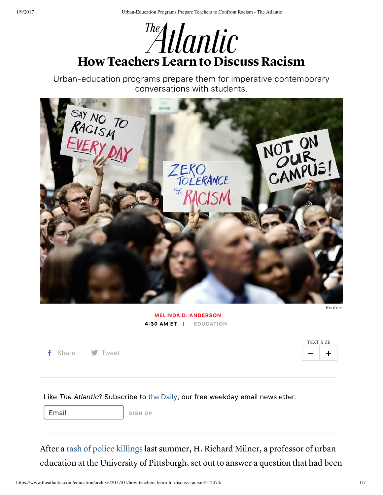

Urban-education programs prepare them for imperative contemporary conversations with students.



**MELINDA D. ANDERSON** 4:30 AM ET | EDUCATION

**f** Share **y** Tweet  $\qquad \qquad \qquad$  Two  $\qquad \qquad \qquad$   $\qquad \qquad$   $\qquad \qquad$   $\qquad \qquad$   $\qquad \qquad$   $\qquad \qquad$   $\qquad \qquad$   $\qquad \qquad$   $\qquad \qquad$   $\qquad \qquad$   $\qquad \qquad$   $\qquad \qquad$   $\qquad \qquad$   $\qquad \qquad$   $\qquad \qquad$   $\qquad \qquad$   $\qquad \qquad$   $\qquad \qquad$   $\qquad \qquad$   $\qquad \qquad$   $\$ 

| TEXT SIZE |   |
|-----------|---|
|           | ┿ |

Like The Atlantic? Subscribe to the Daily, our free weekday email newsletter.

Email

**SIGN UP** 

After a rash of police killings last summer, H. Richard Milner, a professor of urban education at the University of Pittsburgh, set out to answer a question that had been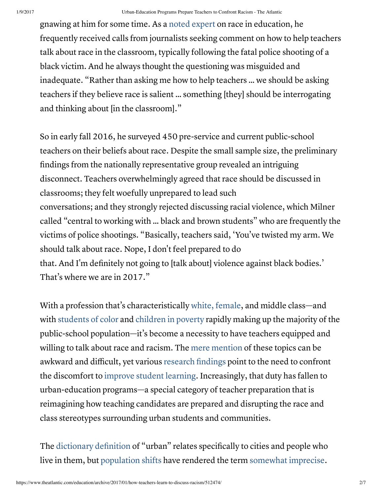gnawing at him for some time. As a noted expert on race in education, he frequently received calls from journalists seeking comment on how to help teachers talk about race in the classroom, typically following the fatal police shooting of a black victim. And he always thought the questioning was misguided and inadequate. "Rather than asking me how to help teachers … we should be asking teachers if they believe race is salient … something [they] should be interrogating and thinking about [in the classroom]."

So in early fall 2016, he surveyed 450 pre-service and current public-school teachers on their beliefs about race. Despite the small sample size, the preliminary findings from the nationally representative group revealed an intriguing disconnect. Teachers overwhelmingly agreed that race should be discussed in classrooms; they felt woefully unprepared to lead such conversations; and they strongly rejected discussing racial violence, which Milner called "central to working with … black and brown students" who are frequently the victims of police shootings. "Basically, teachers said, 'You've twisted my arm. We should talk about race. Nope, I don't feel prepared to do that. And I'm definitely not going to [talk about] violence against black bodies.' That's where we are in 2017."

With a profession that's characteristically white, female, and middle class—and with students of color and children in poverty rapidly making up the majority of the public-school population—it's become a necessity to have teachers equipped and willing to talk about race and racism. The mere mention of these topics can be awkward and difficult, yet various research findings point to the need to confront the discomfort to improve student learning. Increasingly, that duty has fallen to urban-education programs—a special category of teacher preparation that is reimagining how teaching candidates are prepared and disrupting the race and class stereotypes surrounding urban students and communities.

The dictionary definition of "urban" relates specifically to cities and people who live in them, but population shifts have rendered the term somewhat imprecise.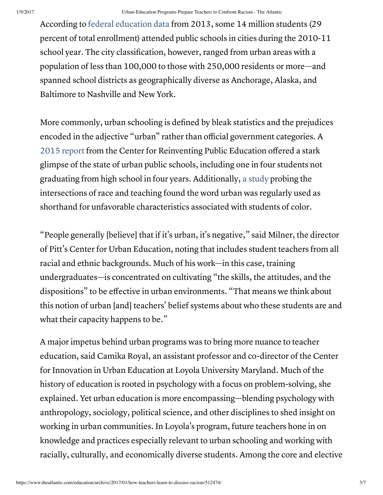According to federal education data from 2013, some 14 million students (29 percent of total enrollment) attended public schools in cities during the 2010-11 school year. The city classification, however, ranged from urban areas with a population of less than 100,000 to those with 250,000 residents or more—and spanned school districts as geographically diverse as Anchorage, Alaska, and Baltimore to Nashville and New York.

More commonly, urban schooling is defined by bleak statistics and the prejudices encoded in the adjective "urban" rather than official government categories. A 2015 report from the Center for Reinventing Public Education offered a stark glimpse of the state of urban public schools, including one in four students not graduating from high school in four years. Additionally, a study probing the intersections of race and teaching found the word urban was regularly used as shorthand for unfavorable characteristics associated with students of color.

"People generally [believe] that if it's urban, it's negative," said Milner, the director of Pitt's Center for Urban Education, noting that includes student teachers from all racial and ethnic backgrounds. Much of his work—in this case, training undergraduates—is concentrated on cultivating "the skills, the attitudes, and the dispositions" to be effective in urban environments. "That means we think about this notion of urban [and] teachers' belief systems about who these students are and what their capacity happens to be."

A major impetus behind urban programs was to bring more nuance to teacher education, said Camika Royal, an assistant professor and co-director of the Center for Innovation in Urban Education at Loyola University Maryland. Much of the history of education is rooted in psychology with a focus on problem-solving, she explained. Yet urban education is more encompassing—blending psychology with anthropology, sociology, political science, and other disciplines to shed insight on working in urban communities. In Loyola's program, future teachers hone in on knowledge and practices especially relevant to urban schooling and working with racially, culturally, and economically diverse students. Among the core and elective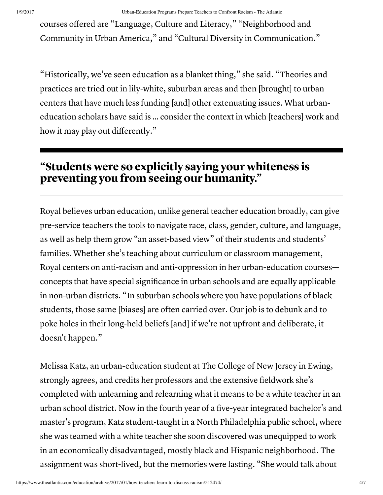courses offered are "Language, Culture and Literacy," "Neighborhood and Community in Urban America," and "Cultural Diversity in Communication."

"Historically, we've seen education as a blanket thing," she said. "Theories and practices are tried out in lily-white, suburban areas and then [brought] to urban centers that have much less funding [and] other extenuating issues. What urbaneducation scholars have said is … consider the context in which [teachers] work and how it may play out differently."

## "Students were so explicitly saying your whiteness is preventing you from seeing our humanity."

Royal believes urban education, unlike general teacher education broadly, can give pre-service teachers the tools to navigate race, class, gender, culture, and language, as well as help them grow "an asset-based view" of their students and students' families. Whether she's teaching about curriculum or classroom management, Royal centers on anti-racism and anti-oppression in her urban-education courses concepts that have special significance in urban schools and are equally applicable in non-urban districts. "In suburban schools where you have populations of black students, those same [biases] are often carried over. Our job is to debunk and to poke holes in their long-held beliefs [and] if we're not upfront and deliberate, it doesn't happen."

Melissa Katz, an urban-education student at The College of New Jersey in Ewing, strongly agrees, and credits her professors and the extensive fieldwork she's completed with unlearning and relearning what it means to be a white teacher in an urban school district. Now in the fourth year of a five-year integrated bachelor's and master's program, Katz student-taught in a North Philadelphia public school, where she was teamed with a white teacher she soon discovered was unequipped to work in an economically disadvantaged, mostly black and Hispanic neighborhood. The assignment was short-lived, but the memories were lasting. "She would talk about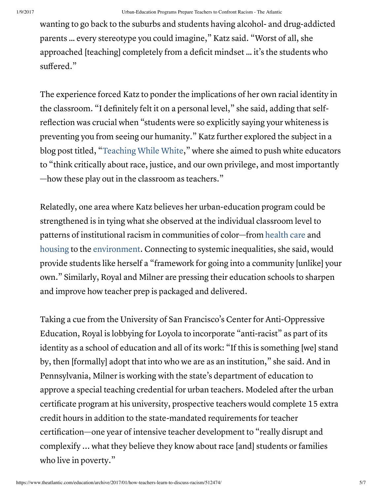wanting to go back to the suburbs and students having alcohol- and drug-addicted parents … every stereotype you could imagine," Katz said. "Worst of all, she approached [teaching] completely from a deficit mindset … it's the students who suffered."

The experience forced Katz to ponder the implications of her own racial identity in the classroom. "I definitely felt it on a personal level," she said, adding that selfreflection was crucial when "students were so explicitly saying your whiteness is preventing you from seeing our humanity." Katz further explored the subject in a blog post titled, "Teaching While White," where she aimed to push white educators to "think critically about race, justice, and our own privilege, and most importantly —how these play out in the classroom as teachers."

Relatedly, one area where Katz believes her urban-education program could be strengthened is in tying what she observed at the individual classroom level to patterns of institutional racism in communities of color—from health care and housing to the environment. Connecting to systemic inequalities, she said, would provide students like herself a "framework for going into a community [unlike] your own." Similarly, Royal and Milner are pressing their education schools to sharpen and improve how teacher prep is packaged and delivered.

Taking a cue from the University of San Francisco's Center for Anti-Oppressive Education, Royal is lobbying for Loyola to incorporate "anti-racist" as part of its identity as a school of education and all of its work: "If this is something [we] stand by, then [formally] adopt that into who we are as an institution," she said. And in Pennsylvania, Milner is working with the state's department of education to approve a special teaching credential for urban teachers. Modeled after the urban certificate program at his university, prospective teachers would complete 15 extra credit hours in addition to the state-mandated requirements for teacher certification—one year of intensive teacher development to "really disrupt and complexify ... what they believe they know about race [and] students or families who live in poverty."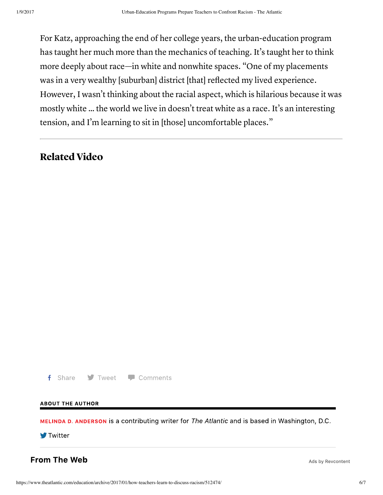For Katz, approaching the end of her college years, the urban-education program has taught her much more than the mechanics of teaching. It's taught her to think more deeply about race—in white and nonwhite spaces. "One of my placements was in a very wealthy [suburban] district [that] reflected my lived experience. However, I wasn't thinking about the racial aspect, which is hilarious because it was mostly white … the world we live in doesn't treat white as a race. It's an interesting tension, and I'm learning to sit in [those] uncomfortable places."

## Related Video

f Share **J** Tweet **P** Comments

## **ABOUT THE AUTHOR**

MELINDA D. ANDERSON is a contributing writer for The Atlantic and is based in Washington, D.C.

**Twitter** 

**From The Web** 

Ads by Revcontent